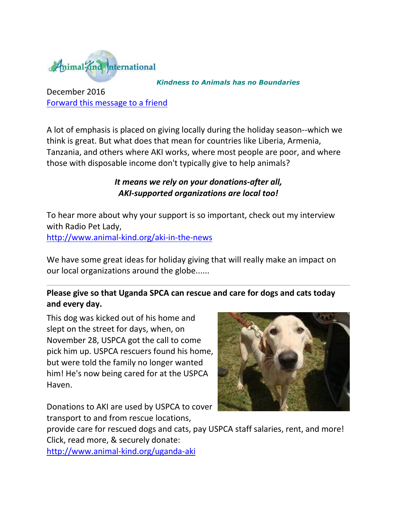

#### *Kindness to Animals has no Boundaries*

December 2016 [Forward this message to a](http://oi.vresp.com/f2af/v4/send_to_friend.html?ch=9b3d1eb5ee&lid=284351439&ldh=f33df9aebc) friend

A lot of emphasis is placed on giving locally during the holiday season--which we think is great. But what does that mean for countries like Liberia, Armenia, Tanzania, and others where AKI works, where most people are poor, and where those with disposable income don't typically give to help animals?

### *It means we rely on your donations-after all, AKI-supported organizations are local too!*

To hear more about why your support is so important, check out my interview with Radio Pet Lady, [http://www.animal-kind.org/aki-in-the-news](http://cts.vresp.com/c/?AnimalKindInternatio/9b3d1eb5ee/f33df9aebc/daf8621686)

We have some great ideas for holiday giving that will really make an impact on our local organizations around the globe......

# **Please give so that Uganda SPCA can rescue and care for dogs and cats today and every day.**

This dog was kicked out of his home and slept on the street for days, when, on November 28, USPCA got the call to come pick him up. USPCA rescuers found his home, but were told the family no longer wanted him! He's now being cared for at the USPCA Haven.

Donations to AKI are used by USPCA to cover transport to and from rescue locations,



provide care for rescued dogs and cats, pay USPCA staff salaries, rent, and more! Click, read more, & securely donate:

[http://www.animal-kind.org/uganda-aki](http://cts.vresp.com/c/?AnimalKindInternatio/9b3d1eb5ee/f33df9aebc/f71faa5ed0)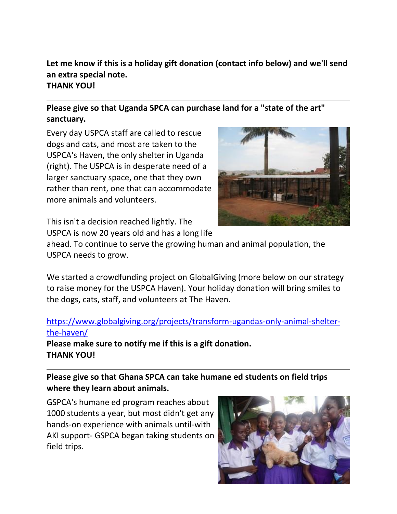#### **Let me know if this is a holiday gift donation (contact info below) and we'll send an extra special note. THANK YOU!**

# **Please give so that Uganda SPCA can purchase land for a "state of the art" sanctuary.**

Every day USPCA staff are called to rescue dogs and cats, and most are taken to the USPCA's Haven, the only shelter in Uganda (right). The USPCA is in desperate need of a larger sanctuary space, one that they own rather than rent, one that can accommodate more animals and volunteers.



This isn't a decision reached lightly. The USPCA is now 20 years old and has a long life

ahead. To continue to serve the growing human and animal population, the USPCA needs to grow.

We started a crowdfunding project on GlobalGiving (more below on our strategy to raise money for the USPCA Haven). Your holiday donation will bring smiles to the dogs, cats, staff, and volunteers at The Haven.

### [https://www.globalgiving.org/projects/transform-ugandas-only-animal-shelter](http://cts.vresp.com/c/?AnimalKindInternatio/9b3d1eb5ee/f33df9aebc/832212e80d)[the-haven/](http://cts.vresp.com/c/?AnimalKindInternatio/9b3d1eb5ee/f33df9aebc/832212e80d) **Please make sure to notify me if this is a gift donation.**

**THANK YOU!**

# **Please give so that Ghana SPCA can take humane ed students on field trips where they learn about animals.**

GSPCA's humane ed program reaches about 1000 students a year, but most didn't get any hands-on experience with animals until-with AKI support- GSPCA began taking students on field trips.

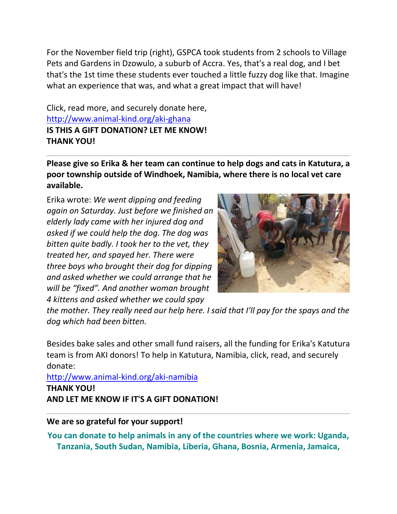For the November field trip (right), GSPCA took students from 2 schools to Village Pets and Gardens in Dzowulo, a suburb of Accra. Yes, that's a real dog, and I bet that's the 1st time these students ever touched a little fuzzy dog like that. Imagine what an experience that was, and what a great impact that will have!

Click, read more, and securely donate here, [http://www.animal-kind.org/aki-ghana](http://cts.vresp.com/c/?AnimalKindInternatio/9b3d1eb5ee/f33df9aebc/a9daf32458) **IS THIS A GIFT DONATION? LET ME KNOW! THANK YOU!** 

**Please give so Erika & her team can continue to help dogs and cats in Katutura, a poor township outside of Windhoek, Namibia, where there is no local vet care available.**

Erika wrote: *We went dipping and feeding again on Saturday. Just before we finished an elderly lady came with her injured dog and asked if we could help the dog. The dog was bitten quite badly. I took her to the vet, they treated her, and spayed her. There were three boys who brought their dog for dipping and asked whether we could arrange that he will be "fixed". And another woman brought 4 kittens and asked whether we could spay* 



*the mother. They really need our help here. I said that I'll pay for the spays and the dog which had been bitten.* 

Besides bake sales and other small fund raisers, all the funding for Erika's Katutura team is from AKI donors! To help in Katutura, Namibia, click, read, and securely donate:

[http://www.animal-kind.org/aki-namibia](http://cts.vresp.com/c/?AnimalKindInternatio/9b3d1eb5ee/f33df9aebc/0eb912eecc) **THANK YOU! AND LET ME KNOW IF IT'S A GIFT DONATION!** 

#### **We are so grateful for your support!**

**You can donate to help animals in any of the countries where we work: Uganda, Tanzania, South Sudan, Namibia, Liberia, Ghana, Bosnia, Armenia, Jamaica,**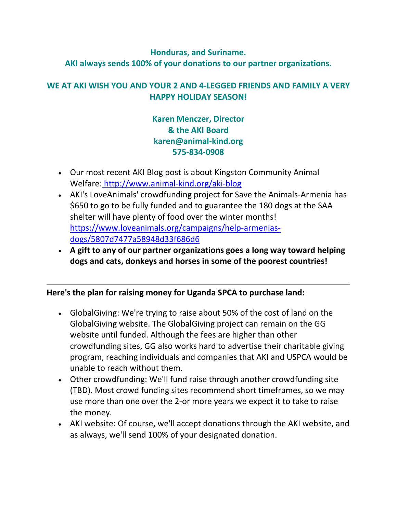# **Honduras, and Suriname. AKI always sends 100% of your donations to our partner organizations.**

### **WE AT AKI WISH YOU AND YOUR 2 AND 4-LEGGED FRIENDS AND FAMILY A VERY HAPPY HOLIDAY SEASON!**

**Karen Menczer, Director & the AKI Board karen@animal-kind.org 575-834-0908**

- Our most recent AKI Blog post is about Kingston Community Animal Welfare: [http://www.animal-kind.org/aki-blog](http://cts.vresp.com/c/?AnimalKindInternatio/9b3d1eb5ee/f33df9aebc/5c41926689)
- AKI's LoveAnimals' crowdfunding project for Save the Animals-Armenia has \$650 to go to be fully funded and to guarantee the 180 dogs at the SAA shelter will have plenty of food over the winter months! [https://www.loveanimals.org/campaigns/help-armenias](http://cts.vresp.com/c/?AnimalKindInternatio/9b3d1eb5ee/f33df9aebc/9c8cef1a84)[dogs/5807d7477a58948d33f686d6](http://cts.vresp.com/c/?AnimalKindInternatio/9b3d1eb5ee/f33df9aebc/9c8cef1a84)
- **A gift to any of our partner organizations goes a long way toward helping dogs and cats, donkeys and horses in some of the poorest countries!**

#### **Here's the plan for raising money for Uganda SPCA to purchase land:**

- GlobalGiving: We're trying to raise about 50% of the cost of land on the GlobalGiving website. The GlobalGiving project can remain on the GG website until funded. Although the fees are higher than other crowdfunding sites, GG also works hard to advertise their charitable giving program, reaching individuals and companies that AKI and USPCA would be unable to reach without them.
- Other crowdfunding: We'll fund raise through another crowdfunding site (TBD). Most crowd funding sites recommend short timeframes, so we may use more than one over the 2-or more years we expect it to take to raise the money.
- AKI website: Of course, we'll accept donations through the AKI website, and as always, we'll send 100% of your designated donation.